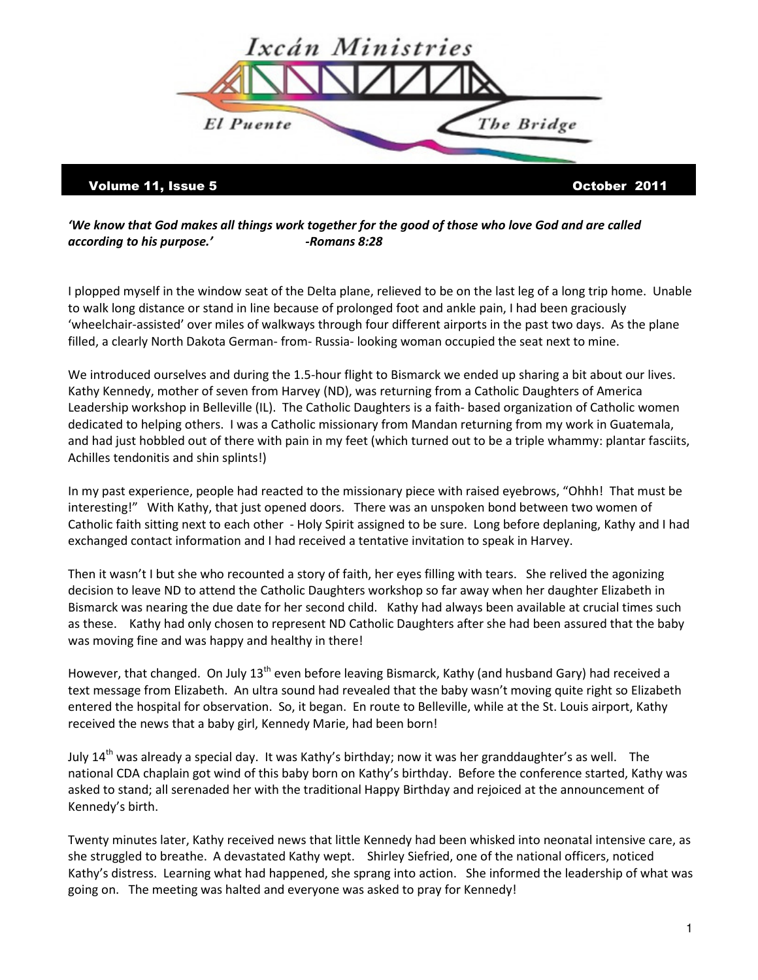

'We know that God makes all things work together for the good of those who love God and are called according to his purpose.' The Romans 8:28

I plopped myself in the window seat of the Delta plane, relieved to be on the last leg of a long trip home. Unable to walk long distance or stand in line because of prolonged foot and ankle pain, I had been graciously 'wheelchair-assisted' over miles of walkways through four different airports in the past two days. As the plane filled, a clearly North Dakota German- from- Russia- looking woman occupied the seat next to mine.

We introduced ourselves and during the 1.5-hour flight to Bismarck we ended up sharing a bit about our lives. Kathy Kennedy, mother of seven from Harvey (ND), was returning from a Catholic Daughters of America Leadership workshop in Belleville (IL). The Catholic Daughters is a faith- based organization of Catholic women dedicated to helping others. I was a Catholic missionary from Mandan returning from my work in Guatemala, and had just hobbled out of there with pain in my feet (which turned out to be a triple whammy: plantar fasciits, Achilles tendonitis and shin splints!)

In my past experience, people had reacted to the missionary piece with raised eyebrows, "Ohhh! That must be interesting!" With Kathy, that just opened doors. There was an unspoken bond between two women of Catholic faith sitting next to each other - Holy Spirit assigned to be sure. Long before deplaning, Kathy and I had exchanged contact information and I had received a tentative invitation to speak in Harvey.

Then it wasn't I but she who recounted a story of faith, her eyes filling with tears. She relived the agonizing decision to leave ND to attend the Catholic Daughters workshop so far away when her daughter Elizabeth in Bismarck was nearing the due date for her second child. Kathy had always been available at crucial times such as these. Kathy had only chosen to represent ND Catholic Daughters after she had been assured that the baby was moving fine and was happy and healthy in there!

However, that changed. On July 13<sup>th</sup> even before leaving Bismarck, Kathy (and husband Gary) had received a text message from Elizabeth. An ultra sound had revealed that the baby wasn't moving quite right so Elizabeth entered the hospital for observation. So, it began. En route to Belleville, while at the St. Louis airport, Kathy received the news that a baby girl, Kennedy Marie, had been born!

July 14<sup>th</sup> was already a special day. It was Kathy's birthday; now it was her granddaughter's as well. The national CDA chaplain got wind of this baby born on Kathy's birthday. Before the conference started, Kathy was asked to stand; all serenaded her with the traditional Happy Birthday and rejoiced at the announcement of Kennedy's birth.

Twenty minutes later, Kathy received news that little Kennedy had been whisked into neonatal intensive care, as she struggled to breathe. A devastated Kathy wept. Shirley Siefried, one of the national officers, noticed Kathy's distress. Learning what had happened, she sprang into action. She informed the leadership of what was going on. The meeting was halted and everyone was asked to pray for Kennedy!